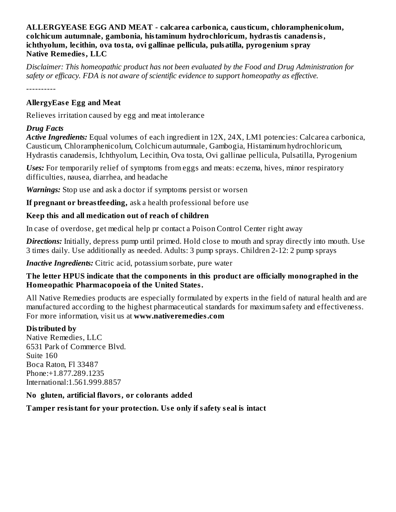#### **ALLERGYEASE EGG AND MEAT - calcarea carbonica, causticum, chloramphenicolum, colchicum autumnale, gambonia, histaminum hydrochloricum, hydrastis canadensis, ichthyolum, lecithin, ova tosta, ovi gallinae pellicula, pulsatilla, pyrogenium spray Native Remedies, LLC**

*Disclaimer: This homeopathic product has not been evaluated by the Food and Drug Administration for safety or efficacy. FDA is not aware of scientific evidence to support homeopathy as effective.*

----------

## **AllergyEas e Egg and Meat**

Relieves irritation caused by egg and meat intolerance

#### *Drug Facts*

*Active Ingredients:* Equal volumes of each ingredient in 12X, 24X, LM1 potencies: Calcarea carbonica, Causticum, Chloramphenicolum, Colchicum autumnale, Gambogia, Histaminum hydrochloricum, Hydrastis canadensis, Ichthyolum, Lecithin, Ova tosta, Ovi gallinae pellicula, Pulsatilla, Pyrogenium

*Uses:* For temporarily relief of symptoms from eggs and meats: eczema, hives, minor respiratory difficulties, nausea, diarrhea, and headache

*Warnings:* Stop use and ask a doctor if symptoms persist or worsen

**If pregnant or breastfeeding,** ask a health professional before use

## **Keep this and all medication out of reach of children**

In case of overdose, get medical help pr contact a Poison Control Center right away

**Directions:** Initially, depress pump until primed. Hold close to mouth and spray directly into mouth. Use 3 times daily. Use additionally as needed. Adults: 3 pump sprays. Children 2-12: 2 pump sprays

*Inactive Ingredients:* Citric acid, potassium sorbate, pure water

#### **The letter HPUS indicate that the components in this product are officially monographed in the Homeopathic Pharmacopoeia of the United States.**

All Native Remedies products are especially formulated by experts in the field of natural health and are manufactured according to the highest pharmaceutical standards for maximum safety and effectiveness. For more information, visit us at **www.nativeremedies.com**

# **Distributed by**

Native Remedies, LLC 6531 Park of Commerce Blvd. Suite 160 Boca Raton, Fl 33487 Phone:+1.877.289.1235 International:1.561.999.8857

#### **No gluten, artificial flavors, or colorants added**

**Tamper resistant for your protection. Us e only if safety s eal is intact**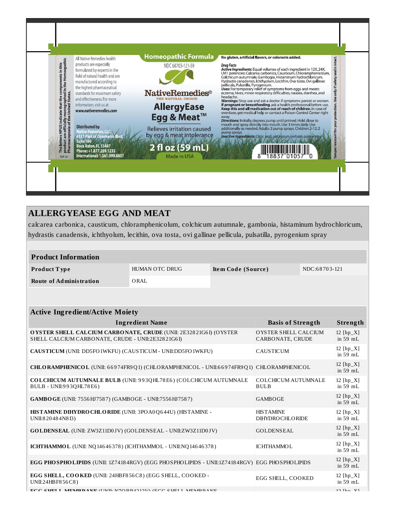

# **ALLERGYEASE EGG AND MEAT**

calcarea carbonica, causticum, chloramphenicolum, colchicum autumnale, gambonia, histaminum hydrochloricum, hydrastis canadensis, ichthyolum, lecithin, ova tosta, ovi gallinae pellicula, pulsatilla, pyrogenium spray

| <b>Product Information</b> |                |                    |               |  |  |
|----------------------------|----------------|--------------------|---------------|--|--|
| Product Type               | HUMAN OTC DRUG | Item Code (Source) | NDC:68703-121 |  |  |
| Route of Administration    | ORAL           |                    |               |  |  |

| <b>Active Ingredient/Active Moiety</b>                                                                                       |                                           |                           |  |  |
|------------------------------------------------------------------------------------------------------------------------------|-------------------------------------------|---------------------------|--|--|
| <b>Ingredient Name</b>                                                                                                       | <b>Basis of Strength</b>                  | Strength                  |  |  |
| <b>OYSTER SHELL CALCIUM CARBONATE, CRUDE (UNII: 2E32821G61) (OYSTER</b><br>SHELL CALCIUM CARBONATE, CRUDE - UNII:2E32821G6I) | OYSTER SHELL CALCIUM<br>CARBONATE, CRUDE  | 12 $[hp_X]$<br>in $59$ mL |  |  |
| CAUSTICUM (UNII: DD5FO1WKFU) (CAUSTICUM - UNII:DD5FO1WKFU)                                                                   | <b>CAUSTICUM</b>                          | 12 $[hp_X]$<br>in 59 mL   |  |  |
| CHLORAMPHENICOL (UNII: 66974FR9Q1) (CHLORAMPHENICOL - UNII:66974FR9Q1) CHLORAMPHENICOL                                       |                                           | 12 $[hp_X]$<br>in 59 mL   |  |  |
| <b>COLCHICUM AUTUMNALE BULB (UNII: 993QHL78E6) (COLCHICUM AUTUMNALE</b><br>BULB - UNII:993QHL78E6)                           | <b>COLCHICUM AUTUMNALE</b><br><b>BULB</b> | 12 $[hp_X]$<br>in $59$ mL |  |  |
| GAMBO GE (UNII: 7556 HJ 7587) (GAMBO GE - UNII: 7556 HJ 7587)                                                                | <b>GAMBOGE</b>                            | 12 $[hp_X]$<br>in $59$ mL |  |  |
| HISTAMINE DIHYDRO CHLORIDE (UNII: 3PO A0 Q 644U) (HISTAMINE -<br>UNII:820484N8I3)                                            | <b>HISTAMINE</b><br>DIHYDROCHLORIDE       | 12 $[hp_X]$<br>in 59 mL   |  |  |
| GOLDENSEAL (UNII: ZW3Z11D0JV) (GOLDENSEAL - UNII:ZW3Z11D0JV)                                                                 | <b>GOLDENSEAL</b>                         | $12$ [hp_X]<br>in $59$ mL |  |  |
| ICHTHAMMOL (UNII: NQ14646378) (ICHTHAMMOL - UNII:NQ14646378)                                                                 | <b>ICHTHAMMOL</b>                         | 12 $[hp_X]$<br>in $59$ mL |  |  |
| EGG PHOSPHOLIPIDS (UNII: 1Z74184RGV) (EGG PHOSPHOLIPIDS - UNII:1Z74184RGV) EGG PHOSPHOLIPIDS                                 |                                           | 12 [hp_X]<br>in $59$ mL   |  |  |
| EGG SHELL, COOKED (UNII: 24HBF856C8) (EGG SHELL, COOKED -<br>UNII:24HBF856C8)                                                | EGG SHELL, COOKED                         | $12$ [hp_X]<br>in $59$ mL |  |  |
| ECC SUEL I MEMBRANE (HNH. N7ODD49193) (ECC SUEL I MEMBRANE                                                                   |                                           | $10$ $[hn$ $V]$           |  |  |